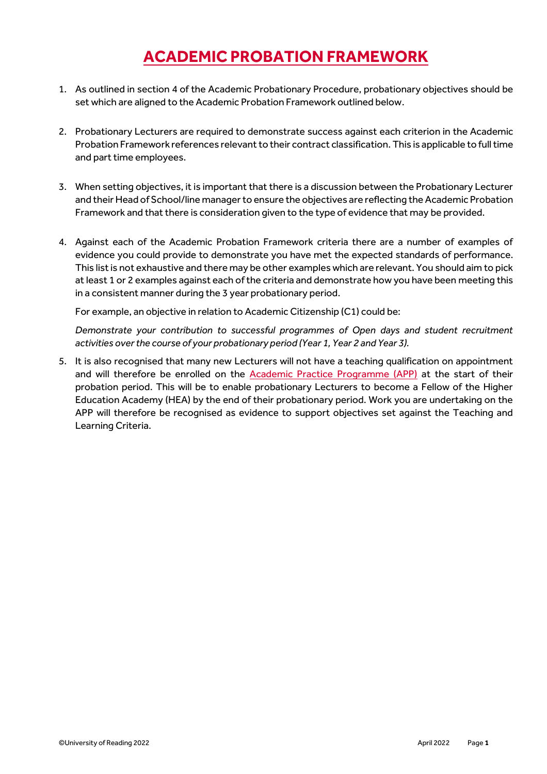## **ACADEMIC PROBATION FRAMEWORK**

- 1. As outlined in section 4 of the Academic Probationary Procedure, probationary objectives should be set which are aligned to the Academic Probation Framework outlined below.
- 2. Probationary Lecturers are required to demonstrate success against each criterion in the Academic Probation Framework references relevant to their contract classification. This is applicable to full time and part time employees.
- 3. When setting objectives, it is important that there is a discussion between the Probationary Lecturer and their Head of School/line manager to ensure the objectives are reflecting the Academic Probation Framework and that there is consideration given to the type of evidence that may be provided.
- 4. Against each of the Academic Probation Framework criteria there are a number of examples of evidence you could provide to demonstrate you have met the expected standards of performance. This list is not exhaustive and there may be other examples which are relevant. You should aim to pick at least 1 or 2 examples against each of the criteria and demonstrate how you have been meeting this in a consistent manner during the 3 year probationary period.

For example, an objective in relation to Academic Citizenship (C1) could be:

*Demonstrate your contribution to successful programmes of Open days and student recruitment activities over the course of your probationary period (Year 1, Year 2 and Year 3).*

5. It is also recognised that many new Lecturers will not have a teaching qualification on appointment and will therefore be enrolled on the [Academic Practice Programme \(APP\)](https://www.reading.ac.uk/reading-cqsd/Developing-and-enhancing/awards-recognition/cqsd-academic-practice-programme.aspx) at the start of their probation period. This will be to enable probationary Lecturers to become a Fellow of the Higher Education Academy (HEA) by the end of their probationary period. Work you are undertaking on the APP will therefore be recognised as evidence to support objectives set against the Teaching and Learning Criteria.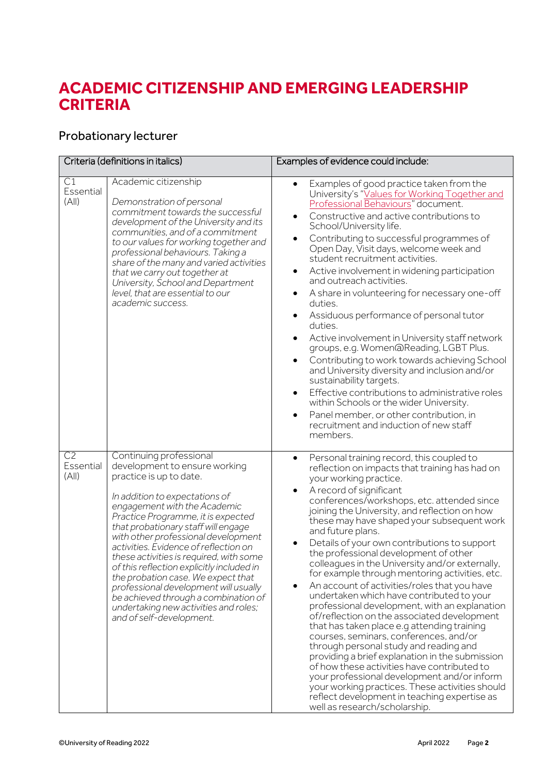### **ACADEMIC CITIZENSHIP AND EMERGING LEADERSHIP CRITERIA**

#### Probationary lecturer

| Criteria (definitions in italics)    |                                                                                                                                                                                                                                                                                                                                                                                                                                                                                                                                                                                                        | Examples of evidence could include:                                                                                                                                                                                                                                                                                                                                                                                                                                                                                                                                                                                                                                                                                                                                                                                                                                                                                                                                                                                                                                                                                                                             |
|--------------------------------------|--------------------------------------------------------------------------------------------------------------------------------------------------------------------------------------------------------------------------------------------------------------------------------------------------------------------------------------------------------------------------------------------------------------------------------------------------------------------------------------------------------------------------------------------------------------------------------------------------------|-----------------------------------------------------------------------------------------------------------------------------------------------------------------------------------------------------------------------------------------------------------------------------------------------------------------------------------------------------------------------------------------------------------------------------------------------------------------------------------------------------------------------------------------------------------------------------------------------------------------------------------------------------------------------------------------------------------------------------------------------------------------------------------------------------------------------------------------------------------------------------------------------------------------------------------------------------------------------------------------------------------------------------------------------------------------------------------------------------------------------------------------------------------------|
| C1<br>Essential<br>(A  )             | Academic citizenship<br>Demonstration of personal<br>commitment towards the successful<br>development of the University and its<br>communities, and of a commitment<br>to our values for working together and<br>professional behaviours. Taking a<br>share of the many and varied activities<br>that we carry out together at<br>University, School and Department<br>level, that are essential to our<br>academic success.                                                                                                                                                                           | Examples of good practice taken from the<br>$\bullet$<br>University's "Values for Working Together and<br>Professional Behaviours" document.<br>Constructive and active contributions to<br>$\bullet$<br>School/University life.<br>Contributing to successful programmes of<br>Open Day, Visit days, welcome week and<br>student recruitment activities.<br>Active involvement in widening participation<br>$\bullet$<br>and outreach activities.<br>A share in volunteering for necessary one-off<br>duties.<br>Assiduous performance of personal tutor<br>٠<br>duties.<br>Active involvement in University staff network<br>٠<br>groups, e.g. Women@Reading, LGBT Plus.<br>Contributing to work towards achieving School<br>and University diversity and inclusion and/or<br>sustainability targets.<br>Effective contributions to administrative roles<br>٠<br>within Schools or the wider University.<br>Panel member, or other contribution, in<br>recruitment and induction of new staff<br>members.                                                                                                                                                     |
| C <sub>2</sub><br>Essential<br>(A  ) | Continuing professional<br>development to ensure working<br>practice is up to date.<br>In addition to expectations of<br>engagement with the Academic<br>Practice Programme, it is expected<br>that probationary staff will engage<br>with other professional development<br>activities. Evidence of reflection on<br>these activities is required, with some<br>of this reflection explicitly included in<br>the probation case. We expect that<br>professional development will usually<br>be achieved through a combination of<br>undertaking new activities and roles;<br>and of self-development. | Personal training record, this coupled to<br>$\bullet$<br>reflection on impacts that training has had on<br>your working practice.<br>A record of significant<br>$\bullet$<br>conferences/workshops, etc. attended since<br>joining the University, and reflection on how<br>these may have shaped your subsequent work<br>and future plans.<br>Details of your own contributions to support<br>the professional development of other<br>colleagues in the University and/or externally,<br>for example through mentoring activities, etc.<br>An account of activities/roles that you have<br>undertaken which have contributed to your<br>professional development, with an explanation<br>of/reflection on the associated development<br>that has taken place e.g attending training<br>courses, seminars, conferences, and/or<br>through personal study and reading and<br>providing a brief explanation in the submission<br>of how these activities have contributed to<br>your professional development and/or inform<br>your working practices. These activities should<br>reflect development in teaching expertise as<br>well as research/scholarship. |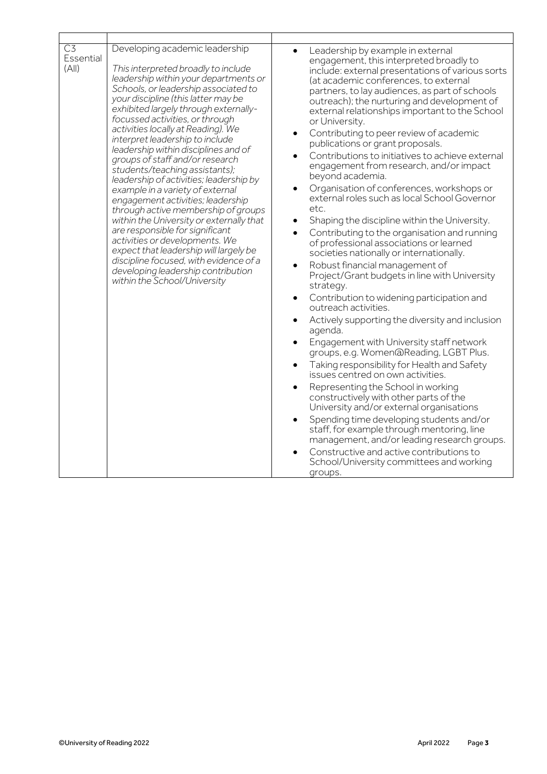| C <sub>3</sub><br>Essential<br>(A  ) | Developing academic leadership<br>This interpreted broadly to include<br>leadership within your departments or<br>Schools, or leadership associated to<br>your discipline (this latter may be<br>exhibited largely through externally-<br>focussed activities, or through<br>activities locally at Reading). We<br>interpret leadership to include<br>leadership within disciplines and of<br>groups of staff and/or research<br>students/teaching assistants);<br>leadership of activities; leadership by<br>example in a variety of external<br>engagement activities; leadership<br>through active membership of groups<br>within the University or externally that<br>are responsible for significant<br>activities or developments. We<br>expect that leadership will largely be<br>discipline focused, with evidence of a<br>developing leadership contribution<br>within the School/University | Leadership by example in external<br>$\bullet$<br>engagement, this interpreted broadly to<br>include: external presentations of various sorts<br>(at academic conferences, to external<br>partners, to lay audiences, as part of schools<br>outreach); the nurturing and development of<br>external relationships important to the School<br>or University.<br>Contributing to peer review of academic<br>$\bullet$<br>publications or grant proposals.<br>Contributions to initiatives to achieve external<br>$\bullet$<br>engagement from research, and/or impact<br>beyond academia.<br>Organisation of conferences, workshops or<br>external roles such as local School Governor<br>etc.<br>Shaping the discipline within the University.<br>٠<br>Contributing to the organisation and running<br>$\bullet$<br>of professional associations or learned<br>societies nationally or internationally.<br>Robust financial management of<br>Project/Grant budgets in line with University<br>strategy.<br>Contribution to widening participation and<br>$\bullet$<br>outreach activities.<br>Actively supporting the diversity and inclusion<br>٠<br>agenda.<br>Engagement with University staff network<br>$\bullet$<br>groups, e.g. Women@Reading, LGBT Plus.<br>Taking responsibility for Health and Safety<br>$\bullet$<br>issues centred on own activities.<br>Representing the School in working<br>$\bullet$<br>constructively with other parts of the<br>University and/or external organisations<br>Spending time developing students and/or<br>staff, for example through mentoring, line<br>management, and/or leading research groups.<br>Constructive and active contributions to<br>$\bullet$<br>School/University committees and working<br>groups. |
|--------------------------------------|-------------------------------------------------------------------------------------------------------------------------------------------------------------------------------------------------------------------------------------------------------------------------------------------------------------------------------------------------------------------------------------------------------------------------------------------------------------------------------------------------------------------------------------------------------------------------------------------------------------------------------------------------------------------------------------------------------------------------------------------------------------------------------------------------------------------------------------------------------------------------------------------------------|--------------------------------------------------------------------------------------------------------------------------------------------------------------------------------------------------------------------------------------------------------------------------------------------------------------------------------------------------------------------------------------------------------------------------------------------------------------------------------------------------------------------------------------------------------------------------------------------------------------------------------------------------------------------------------------------------------------------------------------------------------------------------------------------------------------------------------------------------------------------------------------------------------------------------------------------------------------------------------------------------------------------------------------------------------------------------------------------------------------------------------------------------------------------------------------------------------------------------------------------------------------------------------------------------------------------------------------------------------------------------------------------------------------------------------------------------------------------------------------------------------------------------------------------------------------------------------------------------------------------------------------------------------------------------------------------------------------------------------------------------------------------|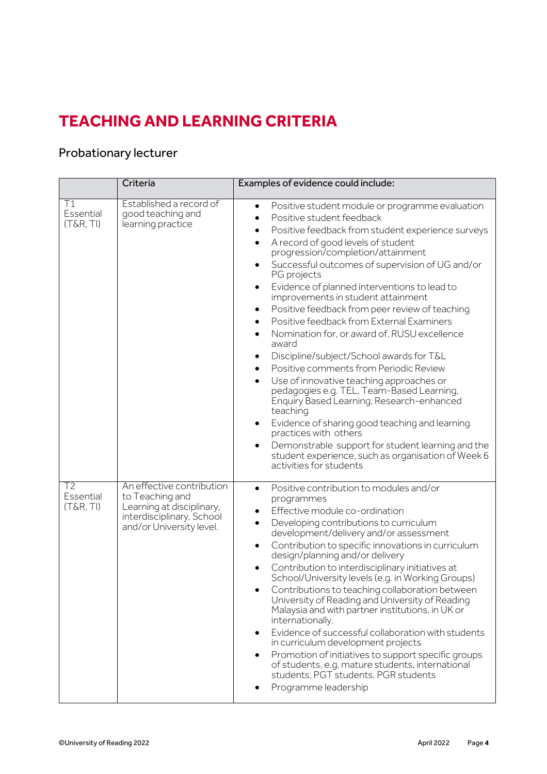# **TEACHING AND LEARNING CRITERIA**

### Probationary lecturer

|                              | Criteria                                                                                                                           | Examples of evidence could include:                                                                                                                                                                                                                                                                                                                                                                                                                                                                                                                                                                                                                                                                                                                                                                                                                                                                                                                                                                                                                                                                                       |
|------------------------------|------------------------------------------------------------------------------------------------------------------------------------|---------------------------------------------------------------------------------------------------------------------------------------------------------------------------------------------------------------------------------------------------------------------------------------------------------------------------------------------------------------------------------------------------------------------------------------------------------------------------------------------------------------------------------------------------------------------------------------------------------------------------------------------------------------------------------------------------------------------------------------------------------------------------------------------------------------------------------------------------------------------------------------------------------------------------------------------------------------------------------------------------------------------------------------------------------------------------------------------------------------------------|
| Τ1<br>Essential<br>(T&R, TI) | Established a record of<br>good teaching and<br>learning practice                                                                  | Positive student module or programme evaluation<br>$\bullet$<br>Positive student feedback<br>$\bullet$<br>Positive feedback from student experience surveys<br>$\bullet$<br>A record of good levels of student<br>$\bullet$<br>progression/completion/attainment<br>Successful outcomes of supervision of UG and/or<br>$\bullet$<br>PG projects<br>Evidence of planned interventions to lead to<br>٠<br>improvements in student attainment<br>Positive feedback from peer review of teaching<br>٠<br>Positive feedback from External Examiners<br>$\bullet$<br>Nomination for, or award of, RUSU excellence<br>$\bullet$<br>award<br>Discipline/subject/School awards for T&L<br>٠<br>Positive comments from Periodic Review<br>$\bullet$<br>Use of innovative teaching approaches or<br>pedagogies e.g. TEL, Team-Based Learning,<br>Enquiry Based Learning, Research-enhanced<br>teaching<br>Evidence of sharing good teaching and learning<br>practices with others<br>Demonstrable support for student learning and the<br>$\bullet$<br>student experience, such as organisation of Week 6<br>activities for students |
| T2<br>Essential<br>(T&R, TI) | An effective contribution<br>to Teaching and<br>Learning at disciplinary,<br>interdisciplinary, School<br>and/or University level. | Positive contribution to modules and/or<br>$\bullet$<br>programmes<br>Effective module co-ordination<br>Developing contributions to curriculum<br>$\bullet$<br>development/delivery and/or assessment<br>Contribution to specific innovations in curriculum<br>design/planning and/or delivery<br>Contribution to interdisciplinary initiatives at<br>School/University levels (e.g. in Working Groups)<br>Contributions to teaching collaboration between<br>University of Reading and University of Reading<br>Malaysia and with partner institutions, in UK or<br>internationally.<br>Evidence of successful collaboration with students<br>in curriculum development projects<br>Promotion of initiatives to support specific groups<br>of students, e.g. mature students, international<br>students, PGT students, PGR students<br>Programme leadership                                                                                                                                                                                                                                                              |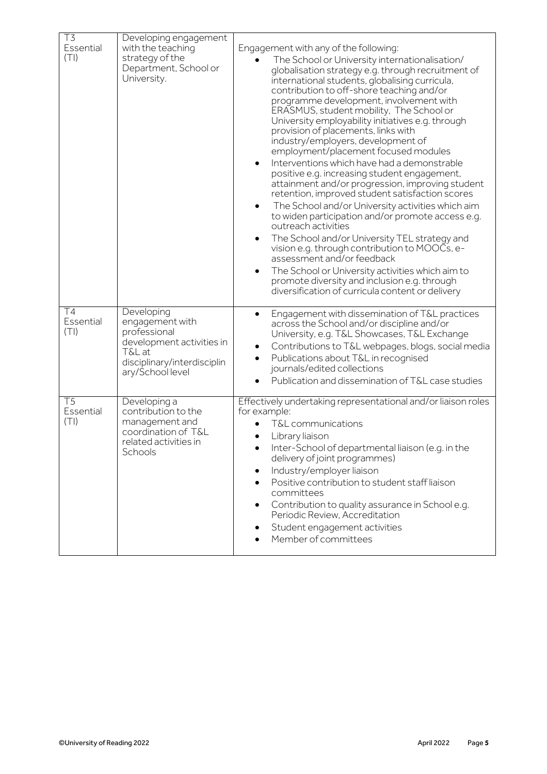| T3<br>Essential<br>(TI)              | Developing engagement<br>with the teaching<br>strategy of the<br>Department, School or<br>University.                                   | Engagement with any of the following:<br>The School or University internationalisation/<br>globalisation strategy e.g. through recruitment of<br>international students, globalising curricula,<br>contribution to off-shore teaching and/or<br>programme development, involvement with<br>ERASMUS, student mobility, The School or<br>University employability initiatives e.g. through<br>provision of placements, links with<br>industry/employers, development of<br>employment/placement focused modules<br>Interventions which have had a demonstrable<br>positive e.g. increasing student engagement,<br>attainment and/or progression, improving student<br>retention, improved student satisfaction scores<br>The School and/or University activities which aim<br>٠<br>to widen participation and/or promote access e.g.<br>outreach activities<br>The School and/or University TEL strategy and<br>$\bullet$<br>vision e.g. through contribution to MOOCs, e-<br>assessment and/or feedback<br>The School or University activities which aim to<br>٠<br>promote diversity and inclusion e.g. through<br>diversification of curricula content or delivery |
|--------------------------------------|-----------------------------------------------------------------------------------------------------------------------------------------|---------------------------------------------------------------------------------------------------------------------------------------------------------------------------------------------------------------------------------------------------------------------------------------------------------------------------------------------------------------------------------------------------------------------------------------------------------------------------------------------------------------------------------------------------------------------------------------------------------------------------------------------------------------------------------------------------------------------------------------------------------------------------------------------------------------------------------------------------------------------------------------------------------------------------------------------------------------------------------------------------------------------------------------------------------------------------------------------------------------------------------------------------------------------|
| T4<br>Essential<br>(TI)              | Developing<br>engagement with<br>professional<br>development activities in<br>T&L at<br>disciplinary/interdisciplin<br>ary/School level | Engagement with dissemination of T&L practices<br>$\bullet$<br>across the School and/or discipline and/or<br>University, e.g. T&L Showcases, T&L Exchange<br>Contributions to T&L webpages, blogs, social media<br>٠<br>Publications about T&L in recognised<br>journals/edited collections<br>Publication and dissemination of T&L case studies                                                                                                                                                                                                                                                                                                                                                                                                                                                                                                                                                                                                                                                                                                                                                                                                                    |
| $\overline{T5}$<br>Essential<br>(TI) | Developing a<br>contribution to the<br>management and<br>coordination of T&L<br>related activities in<br>Schools                        | Effectively undertaking representational and/or liaison roles<br>for example:<br>T&L communications<br>Library liaison<br>Inter-School of departmental liaison (e.g. in the<br>delivery of joint programmes)<br>Industry/employer liaison<br>٠<br>Positive contribution to student staff liaison<br>committees<br>Contribution to quality assurance in School e.g.<br>Periodic Review, Accreditation<br>Student engagement activities<br>Member of committees                                                                                                                                                                                                                                                                                                                                                                                                                                                                                                                                                                                                                                                                                                       |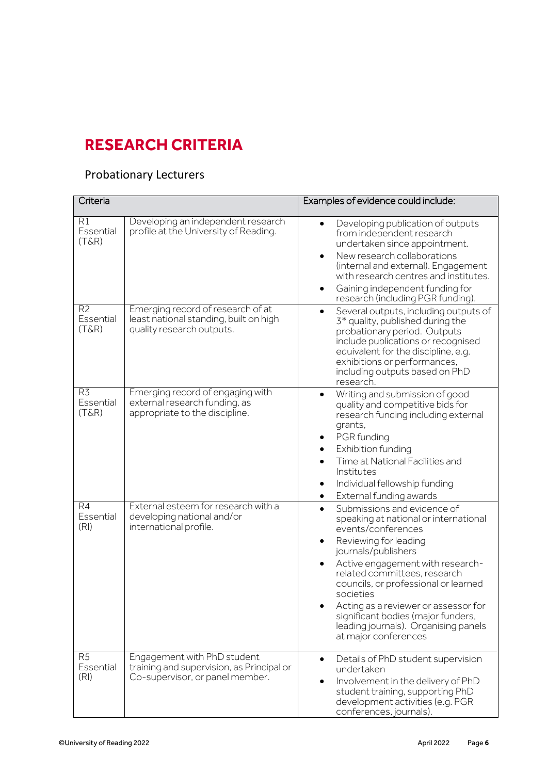# **RESEARCH CRITERIA**

### Probationary Lecturers

| Criteria                                |                                                                                                             | Examples of evidence could include:                                                                                                                                                                                                                                                                                                                                                                               |  |
|-----------------------------------------|-------------------------------------------------------------------------------------------------------------|-------------------------------------------------------------------------------------------------------------------------------------------------------------------------------------------------------------------------------------------------------------------------------------------------------------------------------------------------------------------------------------------------------------------|--|
| R1<br>Essential<br>$(T\&R)$             | Developing an independent research<br>profile at the University of Reading.                                 | Developing publication of outputs<br>from independent research<br>undertaken since appointment.<br>New research collaborations<br>$\bullet$<br>(internal and external). Engagement<br>with research centres and institutes.<br>Gaining independent funding for<br>research (including PGR funding).                                                                                                               |  |
| R <sub>2</sub><br>Essential<br>$(T\&R)$ | Emerging record of research of at<br>least national standing, built on high<br>quality research outputs.    | Several outputs, including outputs of<br>3 <sup>*</sup> quality, published during the<br>probationary period. Outputs<br>include publications or recognised<br>equivalent for the discipline, e.g.<br>exhibitions or performances,<br>including outputs based on PhD<br>research.                                                                                                                                 |  |
| R3<br>Essential<br>$(T\&R)$             | Emerging record of engaging with<br>external research funding, as<br>appropriate to the discipline.         | Writing and submission of good<br>quality and competitive bids for<br>research funding including external<br>grants,<br>PGR funding<br>Exhibition funding<br>Time at National Facilities and<br>Institutes<br>Individual fellowship funding<br>٠<br>External funding awards<br>$\bullet$                                                                                                                          |  |
| R4<br>Essential<br>(RI)                 | External esteem for research with a<br>developing national and/or<br>international profile.                 | Submissions and evidence of<br>speaking at national or international<br>events/conferences<br>Reviewing for leading<br>journals/publishers<br>Active engagement with research-<br>related committees, research<br>councils, or professional or learned<br>societies<br>Acting as a reviewer or assessor for<br>significant bodies (major funders,<br>leading journals). Organising panels<br>at major conferences |  |
| R <sub>5</sub><br>Essential<br>(RI)     | Engagement with PhD student<br>training and supervision, as Principal or<br>Co-supervisor, or panel member. | Details of PhD student supervision<br>undertaken<br>Involvement in the delivery of PhD<br>student training, supporting PhD<br>development activities (e.g. PGR<br>conferences, journals).                                                                                                                                                                                                                         |  |